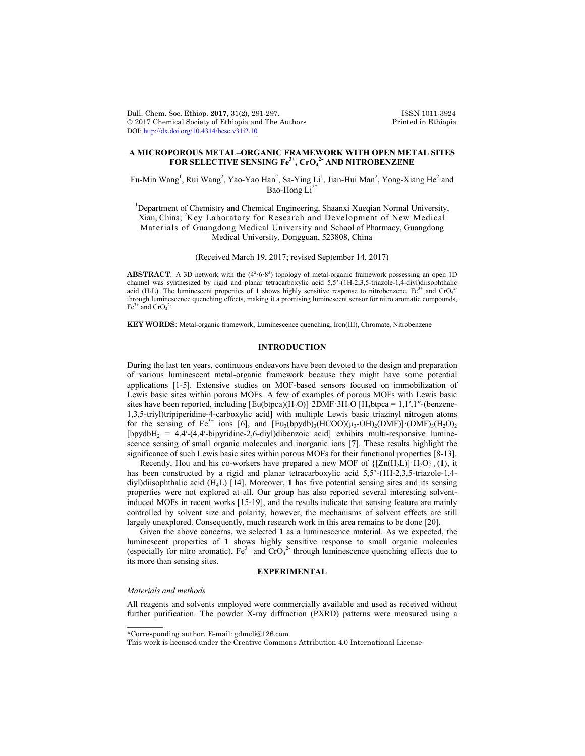Bull. Chem. Soc. Ethiop. 2017, 31(2), 291-297. **ISSN 1011-3924**<br>
© 2017 Chemical Society of Ethiopia and The Authors Printed in Ethiopia  $© 2017 Chemical Society of Ethiopia and The Authors$ DOI: http://dx.doi.org/10.4314/bcse.v31i2.10

# **A MICROPOROUS METAL–ORGANIC FRAMEWORK WITH OPEN METAL SITES FOR SELECTIVE SENSING Fe3+, CrO4 2- AND NITROBENZENE**

Fu-Min Wang $^{\rm l}$ , Rui Wang $^{\rm 2}$ , Yao-Yao Han $^{\rm 2}$ , Sa-Ying Li $^{\rm l}$ , Jian-Hui Man $^{\rm 2}$ , Yong-Xiang He $^{\rm 2}$  and Bao-Hong  $Li^{2*}$ 

<sup>1</sup>Department of Chemistry and Chemical Engineering, Shaanxi Xueqian Normal University, Xian, China; <sup>2</sup>Key Laboratory for Research and Development of New Medical Materials of Guangdong Medical University and School of Pharmacy, Guangdong Medical University, Dongguan, 523808, China

(Received March 19, 2017; revised September 14, 2017)

**ABSTRACT**. A 3D network with the  $(4^2 \cdot 6 \cdot 8^3)$  topology of metal-organic framework possessing an open 1D channel was synthesized by rigid and planar tetracarboxylic acid 5,5'-(1H-2,3,5-triazole-1,4-diyl)diisophthalic acid (H<sub>4</sub>L). The luminescent properties of 1 shows highly sensitive response to nitrobenzene,  $Fe^{3+}$  and CrO<sub>4</sub><sup>2</sup> through luminescence quenching effects, making it a promising luminescent sensor for nitro aromatic compounds,  $Fe^{3+}$  and  $CrO<sub>4</sub><sup>2</sup>$ .

**KEY WORDS**: Metal-organic framework, Luminescence quenching, Iron(III), Chromate, Nitrobenzene

## **INTRODUCTION**

During the last ten years, continuous endeavors have been devoted to the design and preparation of various luminescent metal-organic framework because they might have some potential applications [1-5]. Extensive studies on MOF-based sensors focused on immobilization of Lewis basic sites within porous MOFs. A few of examples of porous MOFs with Lewis basic sites have been reported, including  $[Eu(btpca)(H_2O)]$ ·2DMF·3H<sub>2</sub>O  $[H_3btpca = 1,1',1''$ -(benzene-1,3,5-triyl)tripiperidine-4-carboxylic acid] with multiple Lewis basic triazinyl nitrogen atoms for the sensing of Fe<sup>3+</sup> ions [6], and  $[Eu_3(bpydb)_3(HCOO)(\mu_3-OH)_2(DMF)]$ ·(DMF)<sub>3</sub>(H<sub>2</sub>O)<sub>2</sub> [bpydbH<sub>2</sub> = 4,4'-(4,4'-bipyridine-2,6-diyl)dibenzoic acid] exhibits multi-responsive luminescence sensing of small organic molecules and inorganic ions [7]. These results highlight the significance of such Lewis basic sites within porous MOFs for their functional properties [8-13].

Recently, Hou and his co-workers have prepared a new MOF of  $\{[Zn(H,L)]\cdot H_2O\}$ <sub>n</sub> (1), it has been constructed by a rigid and planar tetracarboxylic acid 5,5'-(1H-2,3,5-triazole-1,4diyl)diisophthalic acid (H4L) [14]. Moreover, **1** has five potential sensing sites and its sensing properties were not explored at all. Our group has also reported several interesting solventinduced MOFs in recent works [15-19], and the results indicate that sensing feature are mainly controlled by solvent size and polarity, however, the mechanisms of solvent effects are still largely unexplored. Consequently, much research work in this area remains to be done [20].

Given the above concerns, we selected **1** as a luminescence material. As we expected, the luminescent properties of **1** shows highly sensitive response to small organic molecules (especially for nitro aromatic),  $Fe^{3+}$  and  $CrO<sub>4</sub><sup>2</sup>$  through luminescence quenching effects due to its more than sensing sites.

#### **EXPERIMENTAL**

#### *Materials and methods*

 $\overline{\phantom{a}}$ 

All reagents and solvents employed were commercially available and used as received without further purification. The powder X-ray diffraction (PXRD) patterns were measured using a

<sup>\*</sup>Corresponding author. E-mail: gdmcli@126.com

This work is licensed under the Creative Commons Attribution 4.0 International License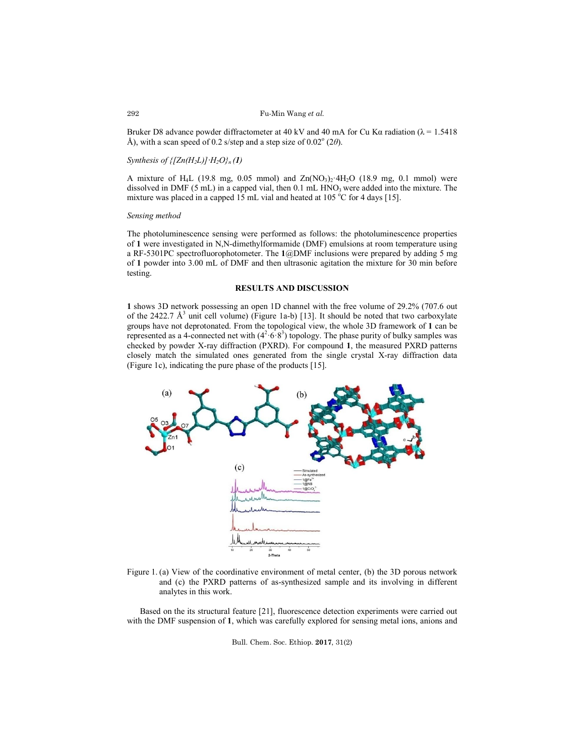#### Fu-Min Wang *et al.*

Bruker D8 advance powder diffractometer at 40 kV and 40 mA for Cu Kα radiation ( $\lambda$  = 1.5418 Å), with a scan speed of 0.2 s/step and a step size of  $0.02^{\circ}$  (2 $\theta$ ).

## *Synthesis of*  $\{[Zn(H_2L)] \cdot H_2O\}_n(1)$

A mixture of H<sub>4</sub>L (19.8 mg, 0.05 mmol) and  $Zn(NO<sub>3</sub>)<sub>2</sub>·4H<sub>2</sub>O$  (18.9 mg, 0.1 mmol) were dissolved in DMF  $(5 \text{ mL})$  in a capped vial, then  $0.1 \text{ mL HNO}_3$  were added into the mixture. The mixture was placed in a capped  $15$  mL vial and heated at  $105\,^{\circ}\text{C}$  for 4 days [15].

## *Sensing method*

The photoluminescence sensing were performed as follows: the photoluminescence properties of **1** were investigated in N,N-dimethylformamide (DMF) emulsions at room temperature using a RF-5301PC spectrofluorophotometer. The **1**@DMF inclusions were prepared by adding 5 mg of **1** powder into 3.00 mL of DMF and then ultrasonic agitation the mixture for 30 min before testing.

## **RESULTS AND DISCUSSION**

**1** shows 3D network possessing an open 1D channel with the free volume of 29.2% (707.6 out of the 2422.7  $\AA^3$  unit cell volume) (Figure 1a-b) [13]. It should be noted that two carboxylate groups have not deprotonated. From the topological view, the whole 3D framework of **1** can be represented as a 4-connected net with  $(4^2 \cdot 6 \cdot 8^3)$  topology. The phase purity of bulky samples was checked by powder X-ray diffraction (PXRD). For compound **1**, the measured PXRD patterns closely match the simulated ones generated from the single crystal X-ray diffraction data (Figure 1c), indicating the pure phase of the products [15].



Figure 1. (a) View of the coordinative environment of metal center, (b) the 3D porous network and (c) the PXRD patterns of as-synthesized sample and its involving in different analytes in this work.

Based on the its structural feature [21], fluorescence detection experiments were carried out with the DMF suspension of **1**, which was carefully explored for sensing metal ions, anions and

Bull. Chem. Soc. Ethiop. **2017**, 31(2)

292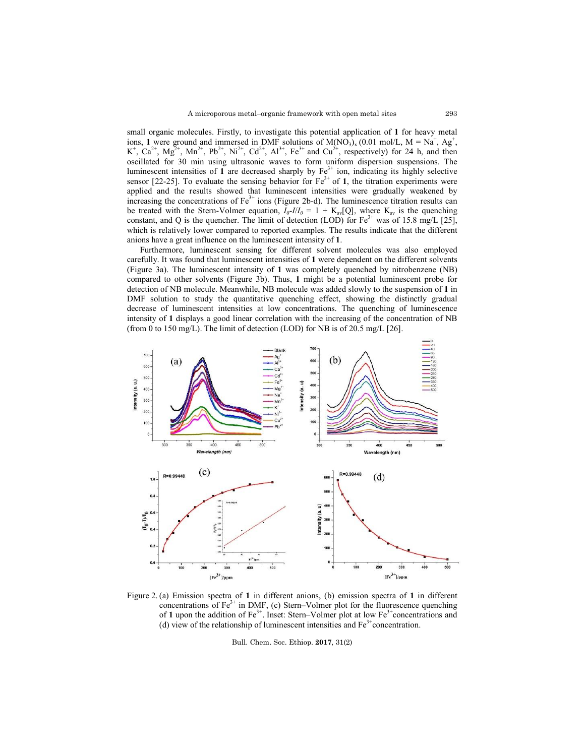small organic molecules. Firstly, to investigate this potential application of **1** for heavy metal ions, 1 were ground and immersed in DMF solutions of  $M(NO<sub>3</sub>)<sub>x</sub> (0.01 mol/L, M = Na<sup>+</sup>, Ag<sup>+</sup>,$  $K^+$ ,  $Ca^{2+}$ ,  $Mg^{2+}$ ,  $Mn^{2+}$ ,  $Pb^{2+}$ ,  $Ni^{2+}$ ,  $Cd^{2+}$ ,  $Al^{3+}$ ,  $Fe^{3+}$  and  $Cu^{2+}$ , respectively) for 24 h, and then oscillated for 30 min using ultrasonic waves to form uniform dispersion suspensions. The luminescent intensities of  $\mathbf 1$  are decreased sharply by  $\mathrm{Fe}^{3+}$  ion, indicating its highly selective sensor  $[22-25]$ . To evaluate the sensing behavior for  $Fe<sup>3+</sup>$  of 1, the titration experiments were applied and the results showed that luminescent intensities were gradually weakened by increasing the concentrations of  $Fe<sup>3+</sup>$  ions (Figure 2b-d). The luminescence titration results can be treated with the Stern-Volmer equation,  $I_0-I/I_0 = 1 + K_{sv}[Q]$ , where  $K_{sv}$  is the quenching constant, and Q is the quencher. The limit of detection (LOD) for  $Fe^{3+}$  was of 15.8 mg/L [25], which is relatively lower compared to reported examples. The results indicate that the different anions have a great influence on the luminescent intensity of **1**.

Furthermore, luminescent sensing for different solvent molecules was also employed carefully. It was found that luminescent intensities of **1** were dependent on the different solvents (Figure 3a). The luminescent intensity of **1** was completely quenched by nitrobenzene (NB) compared to other solvents (Figure 3b). Thus, **1** might be a potential luminescent probe for detection of NB molecule. Meanwhile, NB molecule was added slowly to the suspension of **1** in DMF solution to study the quantitative quenching effect, showing the distinctly gradual decrease of luminescent intensities at low concentrations. The quenching of luminescence intensity of **1** displays a good linear correlation with the increasing of the concentration of NB (from 0 to 150 mg/L). The limit of detection (LOD) for NB is of 20.5 mg/L  $[26]$ .



Figure 2. (a) Emission spectra of **1** in different anions, (b) emission spectra of **1** in different concentrations of  $Fe<sup>3+</sup>$  in DMF, (c) Stern–Volmer plot for the fluorescence quenching of 1 upon the addition of  $Fe^{3+}$ . Inset: Stern–Volmer plot at low  $Fe^{3+}$ concentrations and (d) view of the relationship of luminescent intensities and  $Fe<sup>3+</sup>$  concentration.

Bull. Chem. Soc. Ethiop. **2017**, 31(2)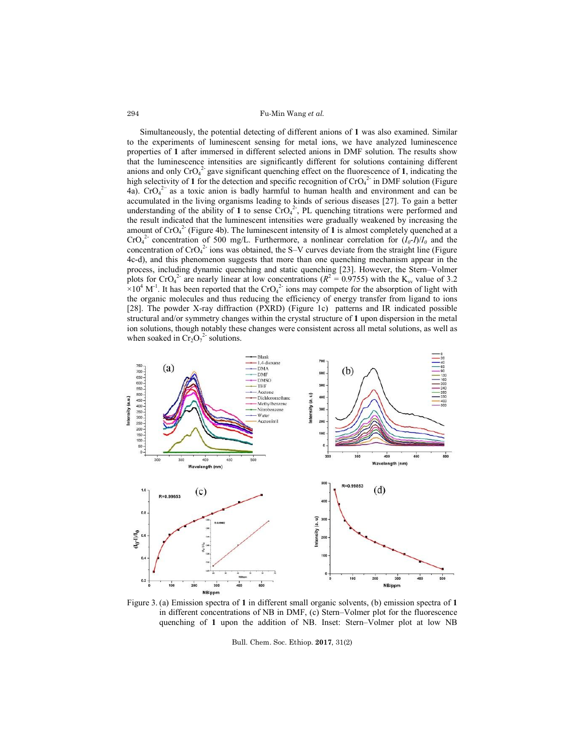Fu-Min Wang *et al.*

Simultaneously, the potential detecting of different anions of **1** was also examined. Similar to the experiments of luminescent sensing for metal ions, we have analyzed luminescence properties of **1** after immersed in different selected anions in DMF solution. The results show that the luminescence intensities are significantly different for solutions containing different anions and only  $CrO<sub>4</sub><sup>2</sup>$  gave significant quenching effect on the fluorescence of **1**, indicating the high selectivity of 1 for the detection and specific recognition of  $CrO<sub>4</sub><sup>2</sup>$  in DMF solution (Figure 4a).  $\text{CrO}_4^2$  as a toxic anion is badly harmful to human health and environment and can be accumulated in the living organisms leading to kinds of serious diseases [27]. To gain a better understanding of the ability of 1 to sense  $\text{CrO}_4^2$ . PL quenching titrations were performed and the result indicated that the luminescent intensities were gradually weakened by increasing the amount of  $CrO<sub>4</sub><sup>2</sup>$  (Figure 4b). The luminescent intensity of **1** is almost completely quenched at a  $CrO<sub>4</sub><sup>2</sup>$  concentration of 500 mg/L. Furthermore, a nonlinear correlation for  $(I<sub>0</sub>-I)/I<sub>0</sub>$  and the concentration of  $CrO<sub>4</sub><sup>2</sup>$  ions was obtained, the S–V curves deviate from the straight line (Figure 4c-d), and this phenomenon suggests that more than one quenching mechanism appear in the process, including dynamic quenching and static quenching [23]. However, the Stern–Volmer plots for CrO<sub>4</sub><sup>2</sup> are nearly linear at low concentrations ( $R^2 = 0.9755$ ) with the K<sub>sv</sub> value of 3.2  $\times 10^4$  M<sup>-1</sup>. It has been reported that the CrO<sub>4</sub><sup>2</sup> ions may compete for the absorption of light with the organic molecules and thus reducing the efficiency of energy transfer from ligand to ions [28]. The powder X-ray diffraction (PXRD) (Figure 1c) patterns and IR indicated possible structural and/or symmetry changes within the crystal structure of **1** upon dispersion in the metal ion solutions, though notably these changes were consistent across all metal solutions, as well as when soaked in  $Cr_2O_7^2$  solutions.



Figure 3. (a) Emission spectra of **1** in different small organic solvents, (b) emission spectra of **1** in different concentrations of NB in DMF, (c) Stern–Volmer plot for the fluorescence quenching of **1** upon the addition of NB. Inset: Stern–Volmer plot at low NB

Bull. Chem. Soc. Ethiop. **2017**, 31(2)

294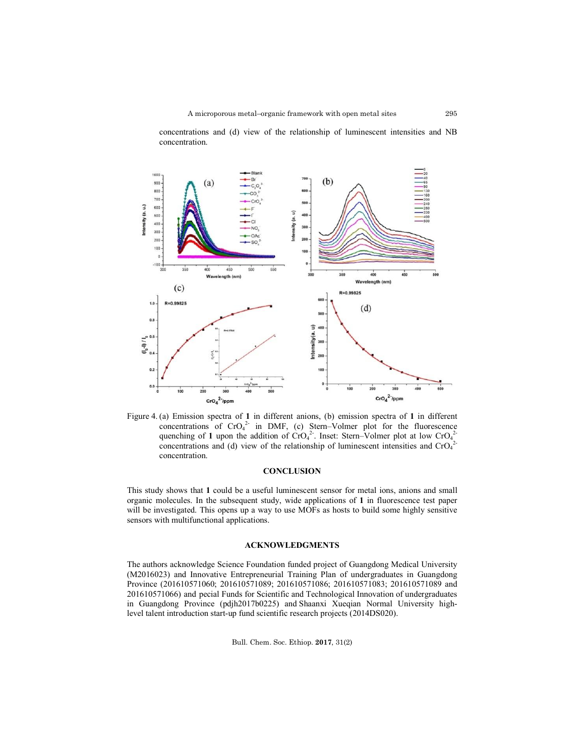

concentrations and (d) view of the relationship of luminescent intensities and NB concentration.

Figure 4. (a) Emission spectra of **1** in different anions, (b) emission spectra of **1** in different concentrations of  $CrO<sub>4</sub><sup>2</sup>$  in DMF, (c) Stern–Volmer plot for the fluorescence quenching of 1 upon the addition of  $CrO<sub>4</sub><sup>2</sup>$ . Inset: Stern–Volmer plot at low  $CrO<sub>4</sub><sup>2</sup>$ concentrations and (d) view of the relationship of luminescent intensities and  $CrO<sub>4</sub><sup>2</sup>$ concentration.

## **CONCLUSION**

This study shows that **1** could be a useful luminescent sensor for metal ions, anions and small organic molecules. In the subsequent study, wide applications of **1** in fluorescence test paper will be investigated. This opens up a way to use MOFs as hosts to build some highly sensitive sensors with multifunctional applications.

#### **ACKNOWLEDGMENTS**

The authors acknowledge Science Foundation funded project of Guangdong Medical University (M2016023) and Innovative Entrepreneurial Training Plan of undergraduates in Guangdong Province (201610571060; 201610571089; 201610571086; 201610571083; 201610571089 and 201610571066) and pecial Funds for Scientific and Technological Innovation of undergraduates in Guangdong Province (pdjh2017b0225) and Shaanxi Xueqian Normal University highlevel talent introduction start-up fund scientific research projects (2014DS020).

Bull. Chem. Soc. Ethiop. **2017**, 31(2)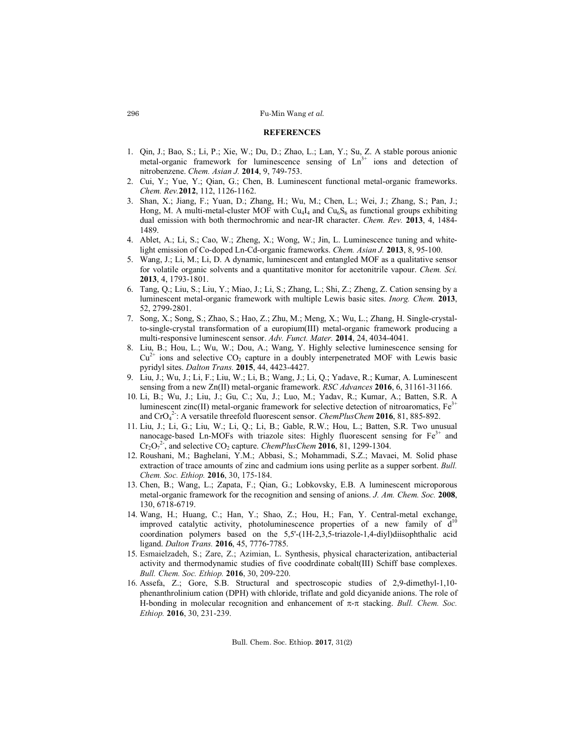## Fu-Min Wang *et al.*

#### **REFERENCES**

- 1. Qin, J.; Bao, S.; Li, P.; Xie, W.; Du, D.; Zhao, L.; Lan, Y.; Su, Z. A stable porous anionic metal-organic framework for luminescence sensing of  $Ln<sup>3+</sup>$  ions and detection of nitrobenzene. *Chem. Asian J.* **2014**, 9, 749-753.
- 2. Cui, Y.; Yue, Y.; Qian, G.; Chen, B. Luminescent functional metal-organic frameworks. *Chem. Rev.***2012**, 112, 1126-1162.
- 3. Shan, X.; Jiang, F.; Yuan, D.; Zhang, H.; Wu, M.; Chen, L.; Wei, J.; Zhang, S.; Pan, J.; Hong, M. A multi-metal-cluster MOF with  $Cu<sub>4</sub>I<sub>4</sub>$  and  $Cu<sub>6</sub>S<sub>6</sub>$  as functional groups exhibiting dual emission with both thermochromic and near-IR character. *Chem. Rev.* **2013**, 4, 1484- 1489.
- 4. Ablet, A.; Li, S.; Cao, W.; Zheng, X.; Wong, W.; Jin, L. Luminescence tuning and whitelight emission of Co-doped Ln-Cd-organic frameworks. *Chem. Asian J.* **2013**, 8, 95-100.
- 5. Wang, J.; Li, M.; Li, D. A dynamic, luminescent and entangled MOF as a qualitative sensor for volatile organic solvents and a quantitative monitor for acetonitrile vapour. *Chem. Sci.* **2013**, 4, 1793-1801.
- 6. Tang, Q.; Liu, S.; Liu, Y.; Miao, J.; Li, S.; Zhang, L.; Shi, Z.; Zheng, Z. Cation sensing by a luminescent metal-organic framework with multiple Lewis basic sites. *Inorg. Chem.* **2013**, 52, 2799-2801.
- 7. Song, X.; Song, S.; Zhao, S.; Hao, Z.; Zhu, M.; Meng, X.; Wu, L.; Zhang, H. Single-crystalto-single-crystal transformation of a europium(III) metal-organic framework producing a multi-responsive luminescent sensor. *Adv. Funct. Mater.* **2014**, 24, 4034-4041.
- 8. Liu, B.; Hou, L.; Wu, W.; Dou, A.; Wang, Y. Highly selective luminescence sensing for  $Cu^{2+}$  ions and selective  $CO_2$  capture in a doubly interpenetrated MOF with Lewis basic pyridyl sites. *Dalton Trans.* **2015**, 44, 4423-4427.
- 9. Liu, J.; Wu, J.; Li, F.; Liu, W.; Li, B.; Wang, J.; Li, Q.; Yadave, R.; Kumar, A. Luminescent sensing from a new Zn(II) metal-organic framework. *RSC Advances* **2016**, 6, 31161-31166.
- 10. Li, B.; Wu, J.; Liu, J.; Gu, C.; Xu, J.; Luo, M.; Yadav, R.; Kumar, A.; Batten, S.R. A luminescent zinc(II) metal-organic framework for selective detection of nitroaromatics,  $Fe<sup>3+</sup>$ and CrO<sub>4</sub><sup>2</sup>: A versatile threefold fluorescent sensor. *ChemPlusChem* **2016**, 81, 885-892.
- 11. Liu, J.; Li, G.; Liu, W.; Li, Q.; Li, B.; Gable, R.W.; Hou, L.; Batten, S.R. Two unusual nanocage-based Ln-MOFs with triazole sites: Highly fluorescent sensing for  $Fe<sup>3+</sup>$  and  $Cr_2O_7^{2.}$ , and selective  $CO_2$  capture. *ChemPlusChem* **2016**, 81, 1299-1304.
- 12. Roushani, M.; Baghelani, Y.M.; Abbasi, S.; Mohammadi, S.Z.; Mavaei, M. Solid phase extraction of trace amounts of zinc and cadmium ions using perlite as a supper sorbent. *Bull. Chem. Soc. Ethiop.* **2016**, 30, 175-184.
- 13. Chen, B.; Wang, L.; Zapata, F.; Qian, G.; Lobkovsky, E.B. A luminescent microporous metal-organic framework for the recognition and sensing of anions. *J. Am. Chem. Soc.* **2008**, 130, 6718-6719.
- 14. Wang, H.; Huang, C.; Han, Y.; Shao, Z.; Hou, H.; Fan, Y. Central-metal exchange, improved catalytic activity, photoluminescence properties of a new family of  $d<sup>10</sup>$ coordination polymers based on the 5,5'-(1H-2,3,5-triazole-1,4-diyl)diisophthalic acid ligand. *Dalton Trans.* **2016**, 45, 7776-7785.
- 15. Esmaielzadeh, S.; Zare, Z.; Azimian, L. Synthesis, physical characterization, antibacterial activity and thermodynamic studies of five coodrdinate cobalt(III) Schiff base complexes. *Bull. Chem. Soc. Ethiop.* **2016**, 30, 209-220.
- 16. Assefa, Z.; Gore, S.B. Structural and spectroscopic studies of 2,9-dimethyl-1,10 phenanthrolinium cation (DPH) with chloride, triflate and gold dicyanide anions. The role of H-bonding in molecular recognition and enhancement of  $\pi$ - $\pi$  stacking. *Bull. Chem. Soc. Ethiop.* **2016**, 30, 231-239.

Bull. Chem. Soc. Ethiop. **2017**, 31(2)